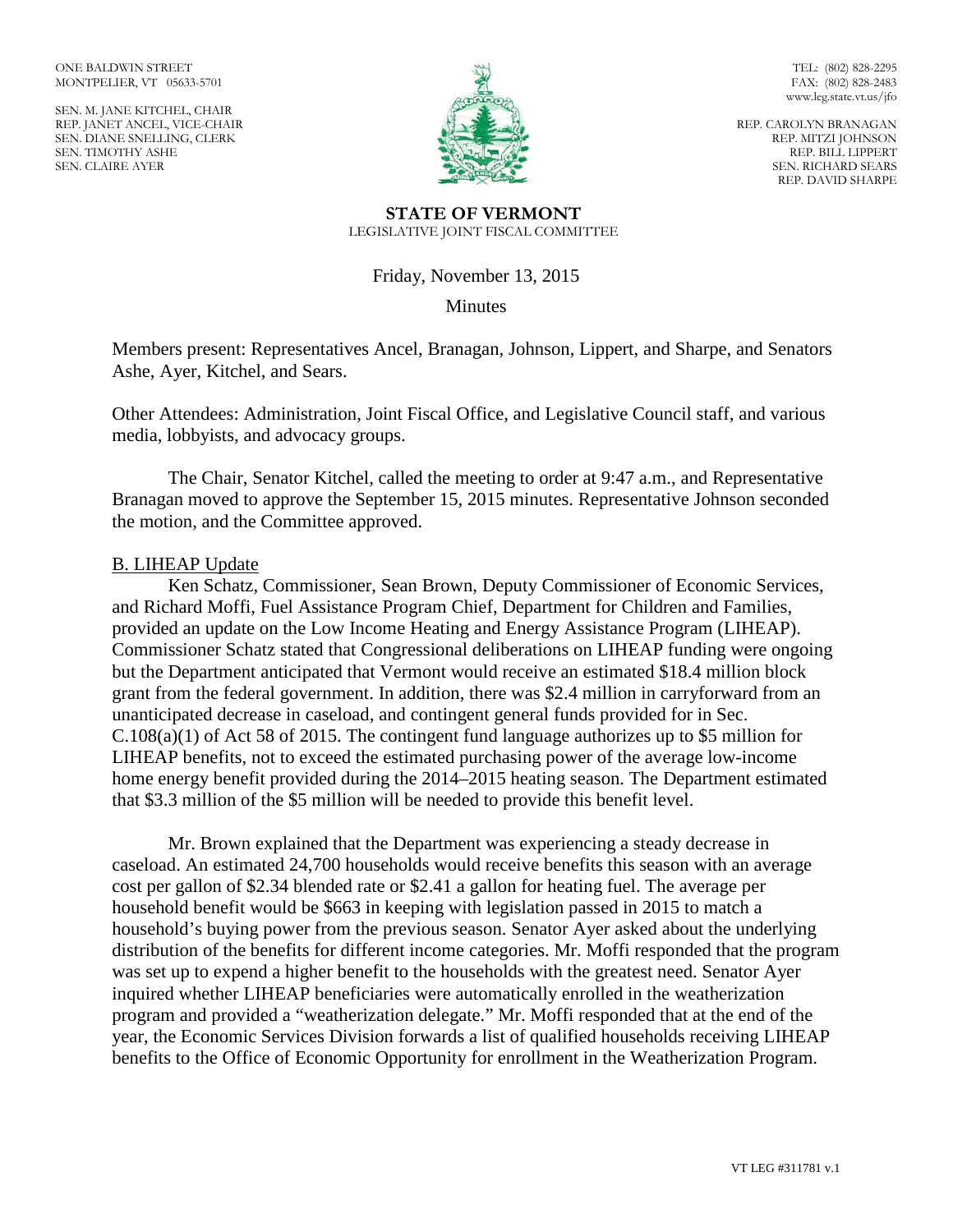ONE BALDWIN STREET MONTPELIER, VT 05633-5701

SEN. M. JANE KITCHEL, CHAIR REP. JANET ANCEL, VICE-CHAIR SEN. DIANE SNELLING, CLERK SEN. TIMOTHY ASHE SEN. CLAIRE AYER



TEL: (802) 828-2295 FAX: (802) 828-2483 www.leg.state.vt.us/jfo

REP. CAROLYN BRANAGAN REP. MITZI JOHNSON REP. BILL LIPPERT SEN. RICHARD SEARS REP. DAVID SHARPE

#### **STATE OF VERMONT** LEGISLATIVE JOINT FISCAL COMMITTEE

Friday, November 13, 2015

Minutes

Members present: Representatives Ancel, Branagan, Johnson, Lippert, and Sharpe, and Senators Ashe, Ayer, Kitchel, and Sears.

Other Attendees: Administration, Joint Fiscal Office, and Legislative Council staff, and various media, lobbyists, and advocacy groups.

The Chair, Senator Kitchel, called the meeting to order at 9:47 a.m., and Representative Branagan moved to approve the September 15, 2015 minutes. Representative Johnson seconded the motion, and the Committee approved.

### B. LIHEAP Update

Ken Schatz, Commissioner, Sean Brown, Deputy Commissioner of Economic Services, and Richard Moffi, Fuel Assistance Program Chief, Department for Children and Families, provided an update on the Low Income Heating and Energy Assistance Program (LIHEAP). Commissioner Schatz stated that Congressional deliberations on LIHEAP funding were ongoing but the Department anticipated that Vermont would receive an estimated \$18.4 million block grant from the federal government. In addition, there was \$2.4 million in carryforward from an unanticipated decrease in caseload, and contingent general funds provided for in Sec. C.108(a)(1) of Act 58 of 2015. The contingent fund language authorizes up to \$5 million for LIHEAP benefits, not to exceed the estimated purchasing power of the average low-income home energy benefit provided during the 2014–2015 heating season. The Department estimated that \$3.3 million of the \$5 million will be needed to provide this benefit level.

Mr. Brown explained that the Department was experiencing a steady decrease in caseload. An estimated 24,700 households would receive benefits this season with an average cost per gallon of \$2.34 blended rate or \$2.41 a gallon for heating fuel. The average per household benefit would be \$663 in keeping with legislation passed in 2015 to match a household's buying power from the previous season. Senator Ayer asked about the underlying distribution of the benefits for different income categories. Mr. Moffi responded that the program was set up to expend a higher benefit to the households with the greatest need. Senator Ayer inquired whether LIHEAP beneficiaries were automatically enrolled in the weatherization program and provided a "weatherization delegate." Mr. Moffi responded that at the end of the year, the Economic Services Division forwards a list of qualified households receiving LIHEAP benefits to the Office of Economic Opportunity for enrollment in the Weatherization Program.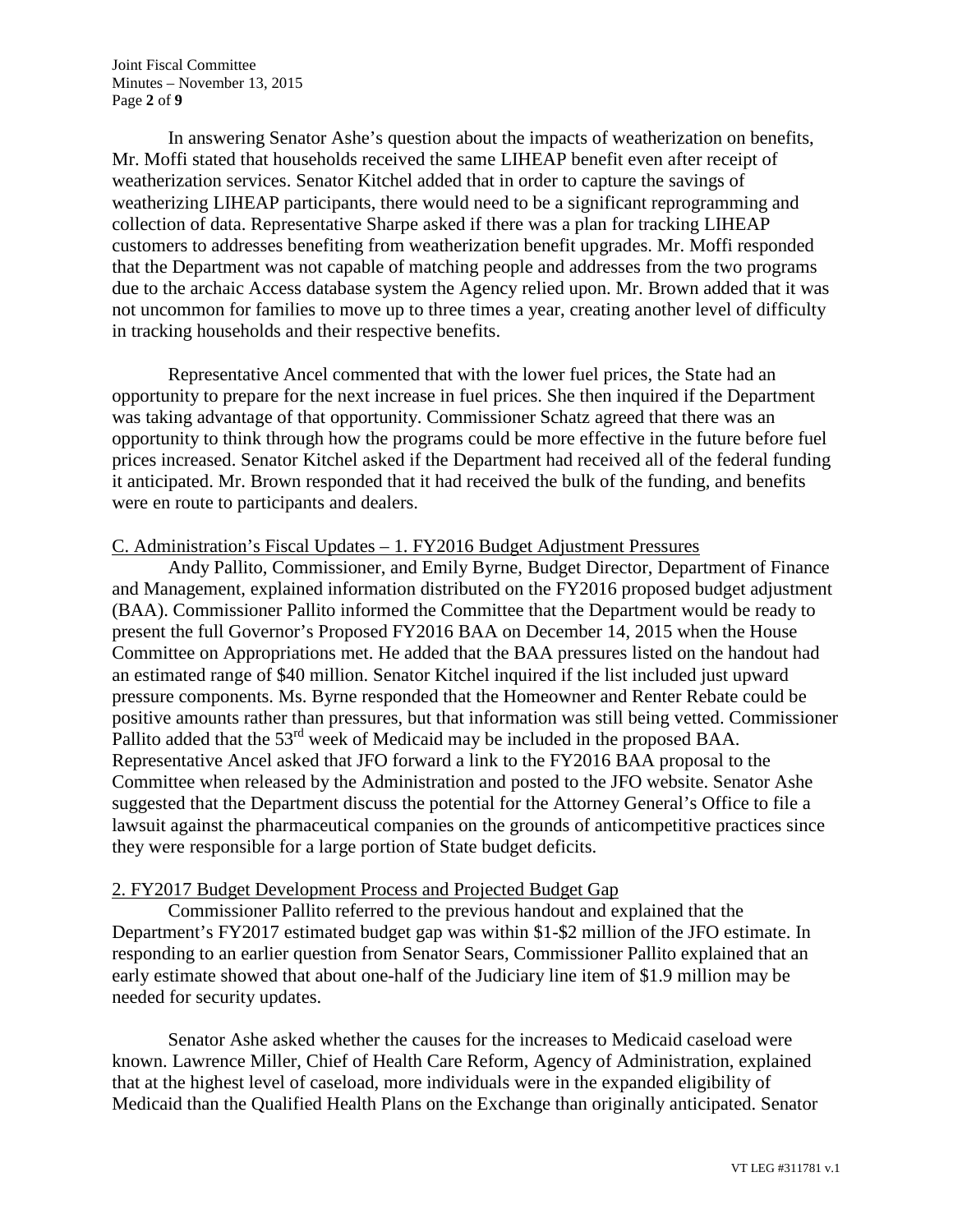Joint Fiscal Committee Minutes – November 13, 2015 Page **2** of **9**

In answering Senator Ashe's question about the impacts of weatherization on benefits, Mr. Moffi stated that households received the same LIHEAP benefit even after receipt of weatherization services. Senator Kitchel added that in order to capture the savings of weatherizing LIHEAP participants, there would need to be a significant reprogramming and collection of data. Representative Sharpe asked if there was a plan for tracking LIHEAP customers to addresses benefiting from weatherization benefit upgrades. Mr. Moffi responded that the Department was not capable of matching people and addresses from the two programs due to the archaic Access database system the Agency relied upon. Mr. Brown added that it was not uncommon for families to move up to three times a year, creating another level of difficulty in tracking households and their respective benefits.

Representative Ancel commented that with the lower fuel prices, the State had an opportunity to prepare for the next increase in fuel prices. She then inquired if the Department was taking advantage of that opportunity. Commissioner Schatz agreed that there was an opportunity to think through how the programs could be more effective in the future before fuel prices increased. Senator Kitchel asked if the Department had received all of the federal funding it anticipated. Mr. Brown responded that it had received the bulk of the funding, and benefits were en route to participants and dealers.

## C. Administration's Fiscal Updates – 1. FY2016 Budget Adjustment Pressures

Andy Pallito, Commissioner, and Emily Byrne, Budget Director, Department of Finance and Management, explained information distributed on the FY2016 proposed budget adjustment (BAA). Commissioner Pallito informed the Committee that the Department would be ready to present the full Governor's Proposed FY2016 BAA on December 14, 2015 when the House Committee on Appropriations met. He added that the BAA pressures listed on the handout had an estimated range of \$40 million. Senator Kitchel inquired if the list included just upward pressure components. Ms. Byrne responded that the Homeowner and Renter Rebate could be positive amounts rather than pressures, but that information was still being vetted. Commissioner Pallito added that the 53<sup>rd</sup> week of Medicaid may be included in the proposed BAA. Representative Ancel asked that JFO forward a link to the FY2016 BAA proposal to the Committee when released by the Administration and posted to the JFO website. Senator Ashe suggested that the Department discuss the potential for the Attorney General's Office to file a lawsuit against the pharmaceutical companies on the grounds of anticompetitive practices since they were responsible for a large portion of State budget deficits.

## 2. FY2017 Budget Development Process and Projected Budget Gap

Commissioner Pallito referred to the previous handout and explained that the Department's FY2017 estimated budget gap was within \$1-\$2 million of the JFO estimate. In responding to an earlier question from Senator Sears, Commissioner Pallito explained that an early estimate showed that about one-half of the Judiciary line item of \$1.9 million may be needed for security updates.

Senator Ashe asked whether the causes for the increases to Medicaid caseload were known. Lawrence Miller, Chief of Health Care Reform, Agency of Administration, explained that at the highest level of caseload, more individuals were in the expanded eligibility of Medicaid than the Qualified Health Plans on the Exchange than originally anticipated. Senator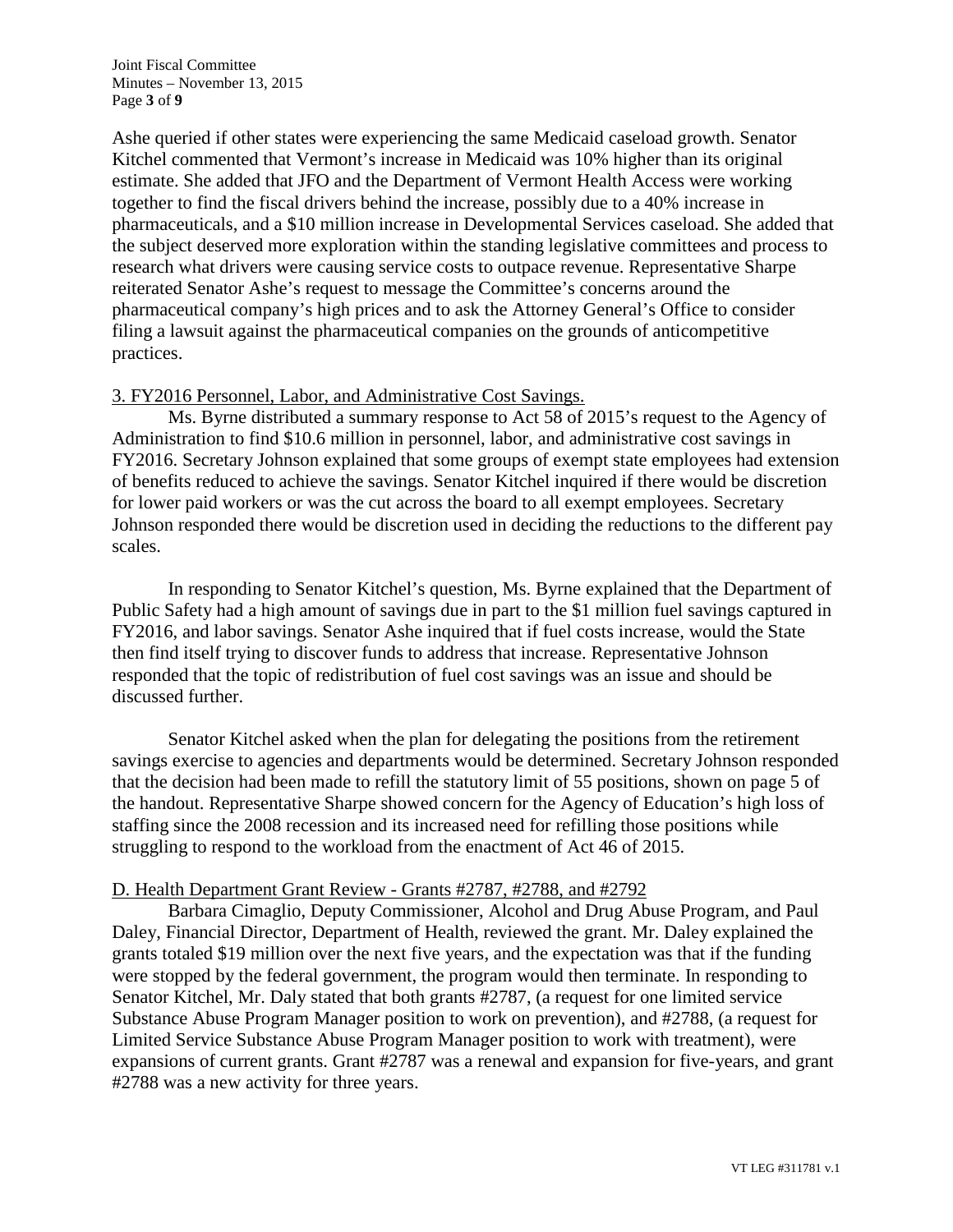Joint Fiscal Committee Minutes – November 13, 2015 Page **3** of **9**

Ashe queried if other states were experiencing the same Medicaid caseload growth. Senator Kitchel commented that Vermont's increase in Medicaid was 10% higher than its original estimate. She added that JFO and the Department of Vermont Health Access were working together to find the fiscal drivers behind the increase, possibly due to a 40% increase in pharmaceuticals, and a \$10 million increase in Developmental Services caseload. She added that the subject deserved more exploration within the standing legislative committees and process to research what drivers were causing service costs to outpace revenue. Representative Sharpe reiterated Senator Ashe's request to message the Committee's concerns around the pharmaceutical company's high prices and to ask the Attorney General's Office to consider filing a lawsuit against the pharmaceutical companies on the grounds of anticompetitive practices.

### 3. FY2016 Personnel, Labor, and Administrative Cost Savings.

Ms. Byrne distributed a summary response to Act 58 of 2015's request to the Agency of Administration to find \$10.6 million in personnel, labor, and administrative cost savings in FY2016. Secretary Johnson explained that some groups of exempt state employees had extension of benefits reduced to achieve the savings. Senator Kitchel inquired if there would be discretion for lower paid workers or was the cut across the board to all exempt employees. Secretary Johnson responded there would be discretion used in deciding the reductions to the different pay scales.

In responding to Senator Kitchel's question, Ms. Byrne explained that the Department of Public Safety had a high amount of savings due in part to the \$1 million fuel savings captured in FY2016, and labor savings. Senator Ashe inquired that if fuel costs increase, would the State then find itself trying to discover funds to address that increase. Representative Johnson responded that the topic of redistribution of fuel cost savings was an issue and should be discussed further.

Senator Kitchel asked when the plan for delegating the positions from the retirement savings exercise to agencies and departments would be determined. Secretary Johnson responded that the decision had been made to refill the statutory limit of 55 positions, shown on page 5 of the handout. Representative Sharpe showed concern for the Agency of Education's high loss of staffing since the 2008 recession and its increased need for refilling those positions while struggling to respond to the workload from the enactment of Act 46 of 2015.

### D. Health Department Grant Review - Grants #2787, #2788, and #2792

Barbara Cimaglio, Deputy Commissioner, Alcohol and Drug Abuse Program, and Paul Daley, Financial Director, Department of Health, reviewed the grant. Mr. Daley explained the grants totaled \$19 million over the next five years, and the expectation was that if the funding were stopped by the federal government, the program would then terminate. In responding to Senator Kitchel, Mr. Daly stated that both grants #2787, (a request for one limited service Substance Abuse Program Manager position to work on prevention), and #2788, (a request for Limited Service Substance Abuse Program Manager position to work with treatment), were expansions of current grants. Grant #2787 was a renewal and expansion for five-years, and grant #2788 was a new activity for three years.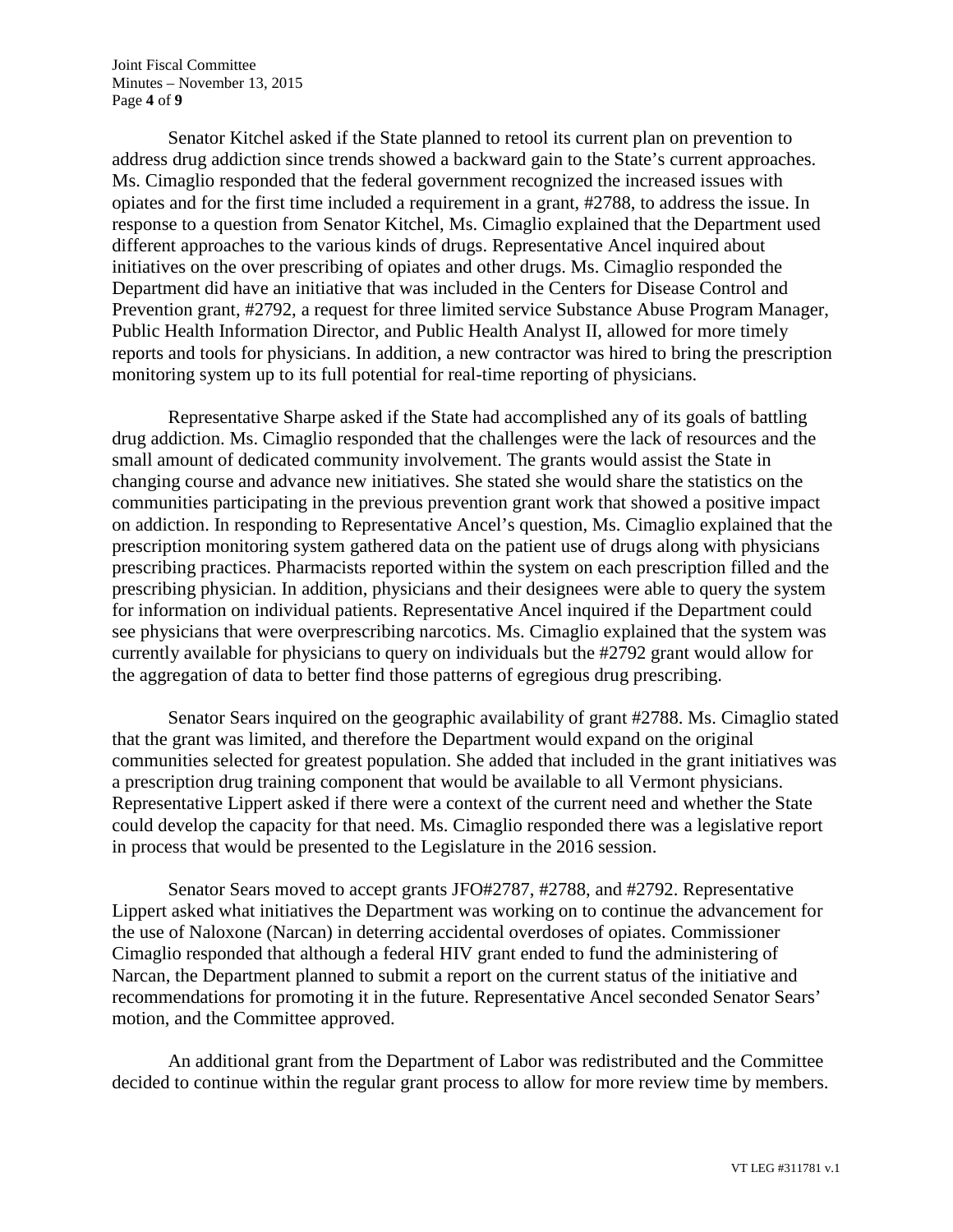Joint Fiscal Committee Minutes – November 13, 2015 Page **4** of **9**

Senator Kitchel asked if the State planned to retool its current plan on prevention to address drug addiction since trends showed a backward gain to the State's current approaches. Ms. Cimaglio responded that the federal government recognized the increased issues with opiates and for the first time included a requirement in a grant, #2788, to address the issue. In response to a question from Senator Kitchel, Ms. Cimaglio explained that the Department used different approaches to the various kinds of drugs. Representative Ancel inquired about initiatives on the over prescribing of opiates and other drugs. Ms. Cimaglio responded the Department did have an initiative that was included in the Centers for Disease Control and Prevention grant, #2792, a request for three limited service Substance Abuse Program Manager, Public Health Information Director, and Public Health Analyst II, allowed for more timely reports and tools for physicians. In addition, a new contractor was hired to bring the prescription monitoring system up to its full potential for real-time reporting of physicians.

Representative Sharpe asked if the State had accomplished any of its goals of battling drug addiction. Ms. Cimaglio responded that the challenges were the lack of resources and the small amount of dedicated community involvement. The grants would assist the State in changing course and advance new initiatives. She stated she would share the statistics on the communities participating in the previous prevention grant work that showed a positive impact on addiction. In responding to Representative Ancel's question, Ms. Cimaglio explained that the prescription monitoring system gathered data on the patient use of drugs along with physicians prescribing practices. Pharmacists reported within the system on each prescription filled and the prescribing physician. In addition, physicians and their designees were able to query the system for information on individual patients. Representative Ancel inquired if the Department could see physicians that were overprescribing narcotics. Ms. Cimaglio explained that the system was currently available for physicians to query on individuals but the #2792 grant would allow for the aggregation of data to better find those patterns of egregious drug prescribing.

Senator Sears inquired on the geographic availability of grant #2788. Ms. Cimaglio stated that the grant was limited, and therefore the Department would expand on the original communities selected for greatest population. She added that included in the grant initiatives was a prescription drug training component that would be available to all Vermont physicians. Representative Lippert asked if there were a context of the current need and whether the State could develop the capacity for that need. Ms. Cimaglio responded there was a legislative report in process that would be presented to the Legislature in the 2016 session.

Senator Sears moved to accept grants JFO#2787, #2788, and #2792. Representative Lippert asked what initiatives the Department was working on to continue the advancement for the use of Naloxone (Narcan) in deterring accidental overdoses of opiates. Commissioner Cimaglio responded that although a federal HIV grant ended to fund the administering of Narcan, the Department planned to submit a report on the current status of the initiative and recommendations for promoting it in the future. Representative Ancel seconded Senator Sears' motion, and the Committee approved.

An additional grant from the Department of Labor was redistributed and the Committee decided to continue within the regular grant process to allow for more review time by members.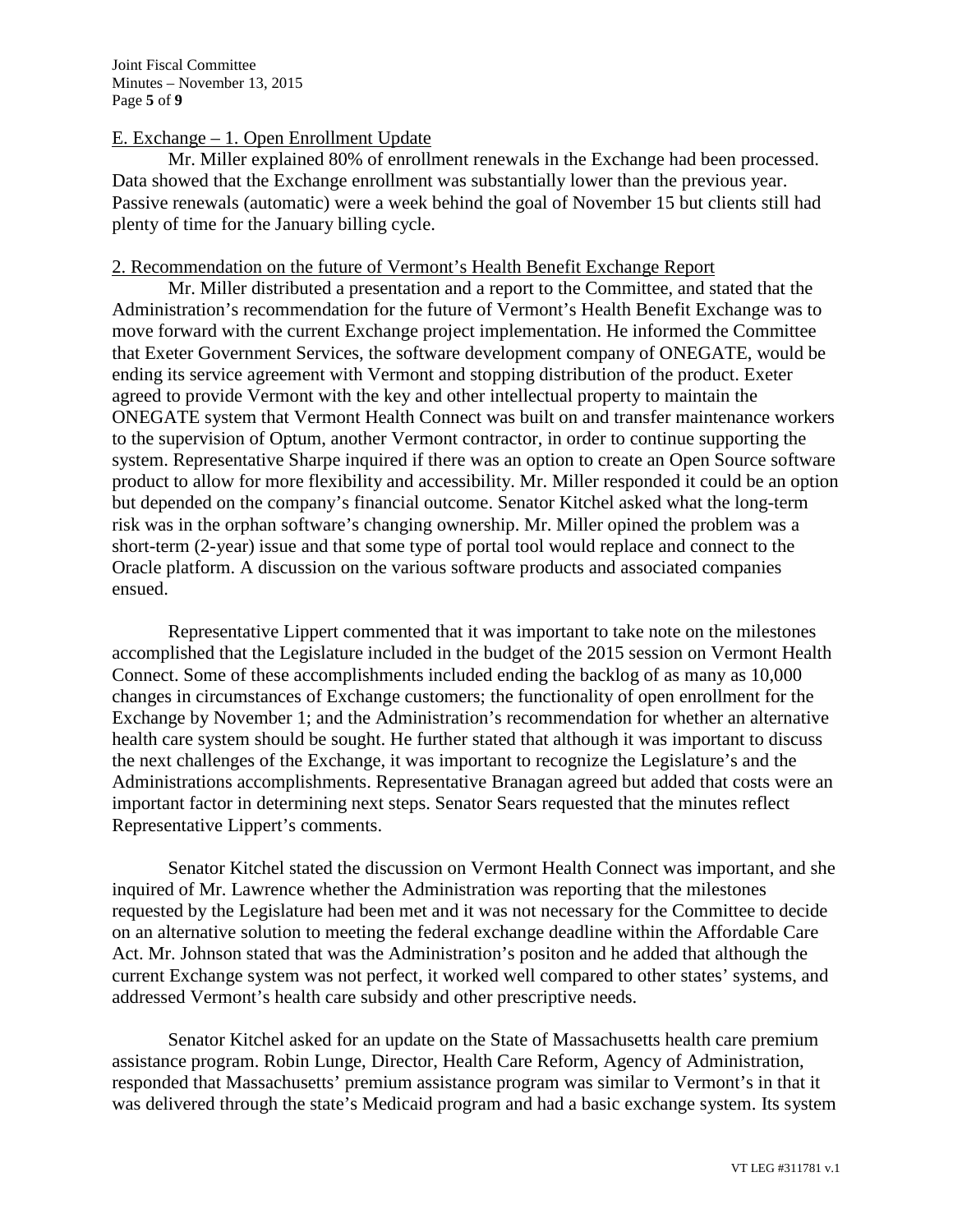# E. Exchange  $-1$ . Open Enrollment Update

Mr. Miller explained 80% of enrollment renewals in the Exchange had been processed. Data showed that the Exchange enrollment was substantially lower than the previous year. Passive renewals (automatic) were a week behind the goal of November 15 but clients still had plenty of time for the January billing cycle.

### 2. Recommendation on the future of Vermont's Health Benefit Exchange Report

Mr. Miller distributed a presentation and a report to the Committee, and stated that the Administration's recommendation for the future of Vermont's Health Benefit Exchange was to move forward with the current Exchange project implementation. He informed the Committee that Exeter Government Services, the software development company of ONEGATE, would be ending its service agreement with Vermont and stopping distribution of the product. Exeter agreed to provide Vermont with the key and other intellectual property to maintain the ONEGATE system that Vermont Health Connect was built on and transfer maintenance workers to the supervision of Optum, another Vermont contractor, in order to continue supporting the system. Representative Sharpe inquired if there was an option to create an Open Source software product to allow for more flexibility and accessibility. Mr. Miller responded it could be an option but depended on the company's financial outcome. Senator Kitchel asked what the long-term risk was in the orphan software's changing ownership. Mr. Miller opined the problem was a short-term (2-year) issue and that some type of portal tool would replace and connect to the Oracle platform. A discussion on the various software products and associated companies ensued.

Representative Lippert commented that it was important to take note on the milestones accomplished that the Legislature included in the budget of the 2015 session on Vermont Health Connect. Some of these accomplishments included ending the backlog of as many as 10,000 changes in circumstances of Exchange customers; the functionality of open enrollment for the Exchange by November 1; and the Administration's recommendation for whether an alternative health care system should be sought. He further stated that although it was important to discuss the next challenges of the Exchange, it was important to recognize the Legislature's and the Administrations accomplishments. Representative Branagan agreed but added that costs were an important factor in determining next steps. Senator Sears requested that the minutes reflect Representative Lippert's comments.

Senator Kitchel stated the discussion on Vermont Health Connect was important, and she inquired of Mr. Lawrence whether the Administration was reporting that the milestones requested by the Legislature had been met and it was not necessary for the Committee to decide on an alternative solution to meeting the federal exchange deadline within the Affordable Care Act. Mr. Johnson stated that was the Administration's positon and he added that although the current Exchange system was not perfect, it worked well compared to other states' systems, and addressed Vermont's health care subsidy and other prescriptive needs.

Senator Kitchel asked for an update on the State of Massachusetts health care premium assistance program. Robin Lunge, Director, Health Care Reform, Agency of Administration, responded that Massachusetts' premium assistance program was similar to Vermont's in that it was delivered through the state's Medicaid program and had a basic exchange system. Its system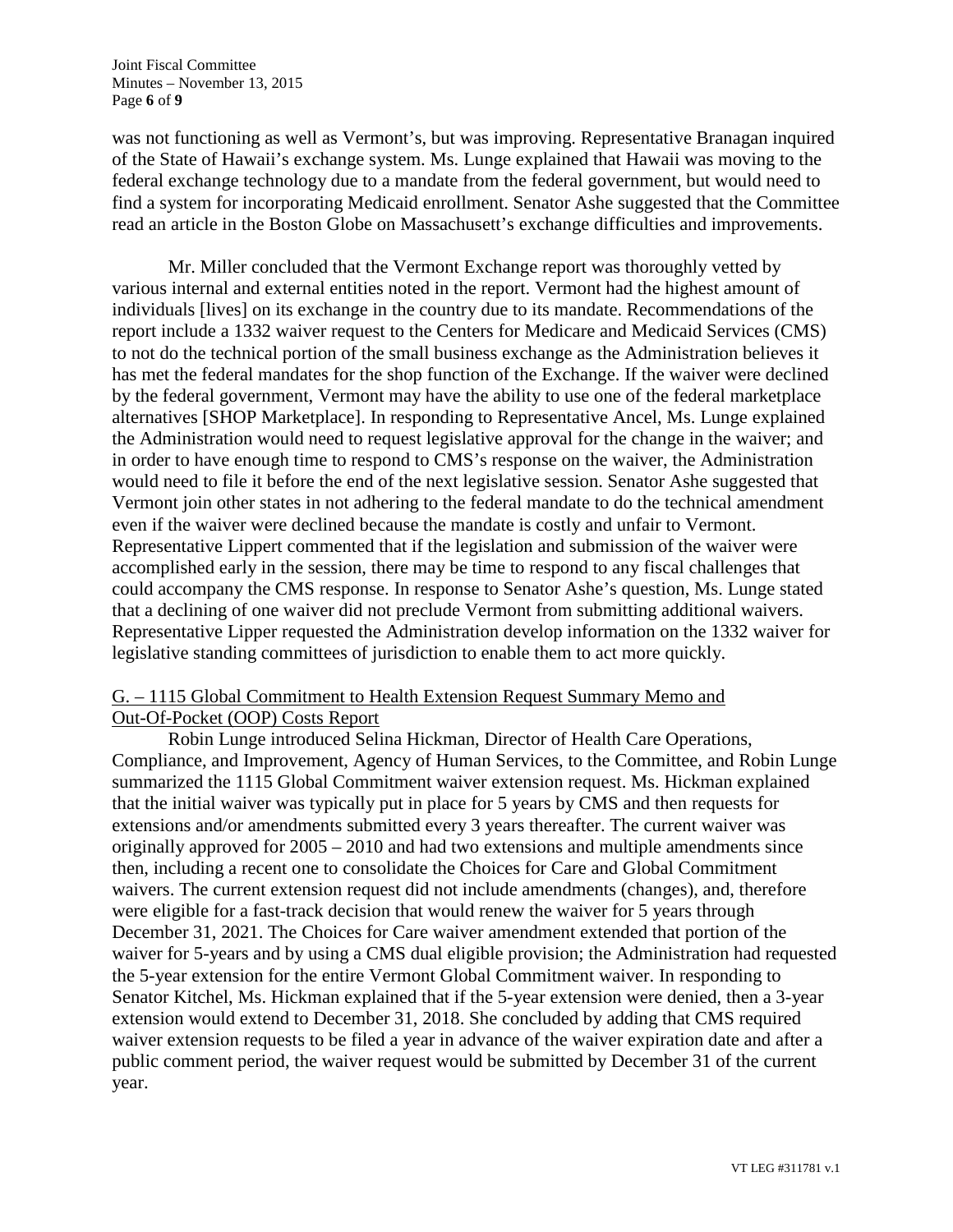was not functioning as well as Vermont's, but was improving. Representative Branagan inquired of the State of Hawaii's exchange system. Ms. Lunge explained that Hawaii was moving to the federal exchange technology due to a mandate from the federal government, but would need to find a system for incorporating Medicaid enrollment. Senator Ashe suggested that the Committee read an article in the Boston Globe on Massachusett's exchange difficulties and improvements.

Mr. Miller concluded that the Vermont Exchange report was thoroughly vetted by various internal and external entities noted in the report. Vermont had the highest amount of individuals [lives] on its exchange in the country due to its mandate. Recommendations of the report include a 1332 waiver request to the Centers for Medicare and Medicaid Services (CMS) to not do the technical portion of the small business exchange as the Administration believes it has met the federal mandates for the shop function of the Exchange. If the waiver were declined by the federal government, Vermont may have the ability to use one of the federal marketplace alternatives [SHOP Marketplace]. In responding to Representative Ancel, Ms. Lunge explained the Administration would need to request legislative approval for the change in the waiver; and in order to have enough time to respond to CMS's response on the waiver, the Administration would need to file it before the end of the next legislative session. Senator Ashe suggested that Vermont join other states in not adhering to the federal mandate to do the technical amendment even if the waiver were declined because the mandate is costly and unfair to Vermont. Representative Lippert commented that if the legislation and submission of the waiver were accomplished early in the session, there may be time to respond to any fiscal challenges that could accompany the CMS response. In response to Senator Ashe's question, Ms. Lunge stated that a declining of one waiver did not preclude Vermont from submitting additional waivers. Representative Lipper requested the Administration develop information on the 1332 waiver for legislative standing committees of jurisdiction to enable them to act more quickly.

# G. – 1115 Global Commitment to Health Extension Request Summary Memo and Out-Of-Pocket (OOP) Costs Report

Robin Lunge introduced Selina Hickman, Director of Health Care Operations, Compliance, and Improvement, Agency of Human Services, to the Committee, and Robin Lunge summarized the 1115 Global Commitment waiver extension request. Ms. Hickman explained that the initial waiver was typically put in place for 5 years by CMS and then requests for extensions and/or amendments submitted every 3 years thereafter. The current waiver was originally approved for 2005 – 2010 and had two extensions and multiple amendments since then, including a recent one to consolidate the Choices for Care and Global Commitment waivers. The current extension request did not include amendments (changes), and, therefore were eligible for a fast-track decision that would renew the waiver for 5 years through December 31, 2021. The Choices for Care waiver amendment extended that portion of the waiver for 5-years and by using a CMS dual eligible provision; the Administration had requested the 5-year extension for the entire Vermont Global Commitment waiver. In responding to Senator Kitchel, Ms. Hickman explained that if the 5-year extension were denied, then a 3-year extension would extend to December 31, 2018. She concluded by adding that CMS required waiver extension requests to be filed a year in advance of the waiver expiration date and after a public comment period, the waiver request would be submitted by December 31 of the current year.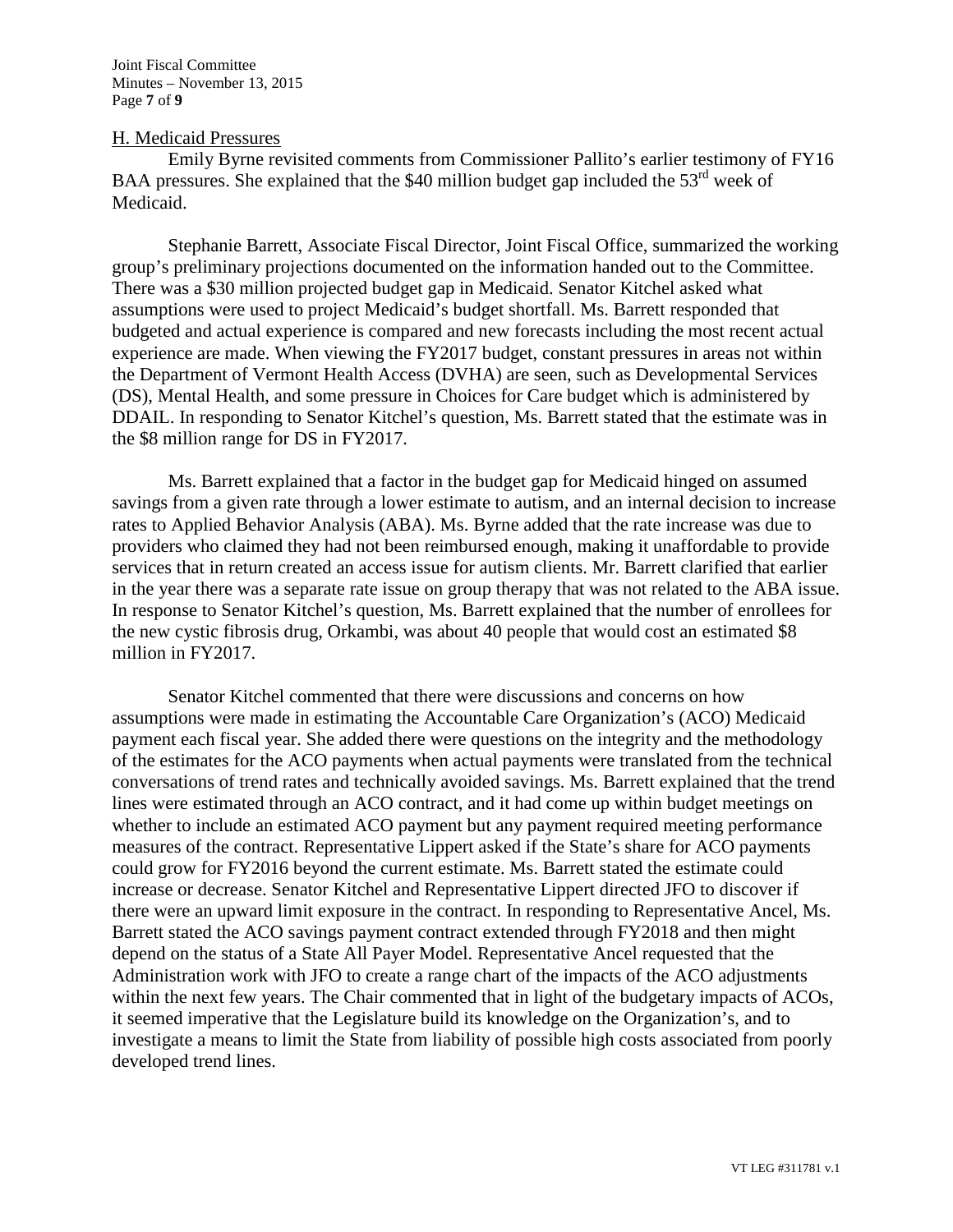### H. Medicaid Pressures

Emily Byrne revisited comments from Commissioner Pallito's earlier testimony of FY16 BAA pressures. She explained that the \$40 million budget gap included the  $53<sup>rd</sup>$  week of Medicaid.

Stephanie Barrett, Associate Fiscal Director, Joint Fiscal Office, summarized the working group's preliminary projections documented on the information handed out to the Committee. There was a \$30 million projected budget gap in Medicaid. Senator Kitchel asked what assumptions were used to project Medicaid's budget shortfall. Ms. Barrett responded that budgeted and actual experience is compared and new forecasts including the most recent actual experience are made. When viewing the FY2017 budget, constant pressures in areas not within the Department of Vermont Health Access (DVHA) are seen, such as Developmental Services (DS), Mental Health, and some pressure in Choices for Care budget which is administered by DDAIL. In responding to Senator Kitchel's question, Ms. Barrett stated that the estimate was in the \$8 million range for DS in FY2017.

Ms. Barrett explained that a factor in the budget gap for Medicaid hinged on assumed savings from a given rate through a lower estimate to autism, and an internal decision to increase rates to Applied Behavior Analysis (ABA). Ms. Byrne added that the rate increase was due to providers who claimed they had not been reimbursed enough, making it unaffordable to provide services that in return created an access issue for autism clients. Mr. Barrett clarified that earlier in the year there was a separate rate issue on group therapy that was not related to the ABA issue. In response to Senator Kitchel's question, Ms. Barrett explained that the number of enrollees for the new cystic fibrosis drug, Orkambi, was about 40 people that would cost an estimated \$8 million in FY2017.

Senator Kitchel commented that there were discussions and concerns on how assumptions were made in estimating the Accountable Care Organization's (ACO) Medicaid payment each fiscal year. She added there were questions on the integrity and the methodology of the estimates for the ACO payments when actual payments were translated from the technical conversations of trend rates and technically avoided savings. Ms. Barrett explained that the trend lines were estimated through an ACO contract, and it had come up within budget meetings on whether to include an estimated ACO payment but any payment required meeting performance measures of the contract. Representative Lippert asked if the State's share for ACO payments could grow for FY2016 beyond the current estimate. Ms. Barrett stated the estimate could increase or decrease. Senator Kitchel and Representative Lippert directed JFO to discover if there were an upward limit exposure in the contract. In responding to Representative Ancel, Ms. Barrett stated the ACO savings payment contract extended through FY2018 and then might depend on the status of a State All Payer Model. Representative Ancel requested that the Administration work with JFO to create a range chart of the impacts of the ACO adjustments within the next few years. The Chair commented that in light of the budgetary impacts of ACOs, it seemed imperative that the Legislature build its knowledge on the Organization's, and to investigate a means to limit the State from liability of possible high costs associated from poorly developed trend lines.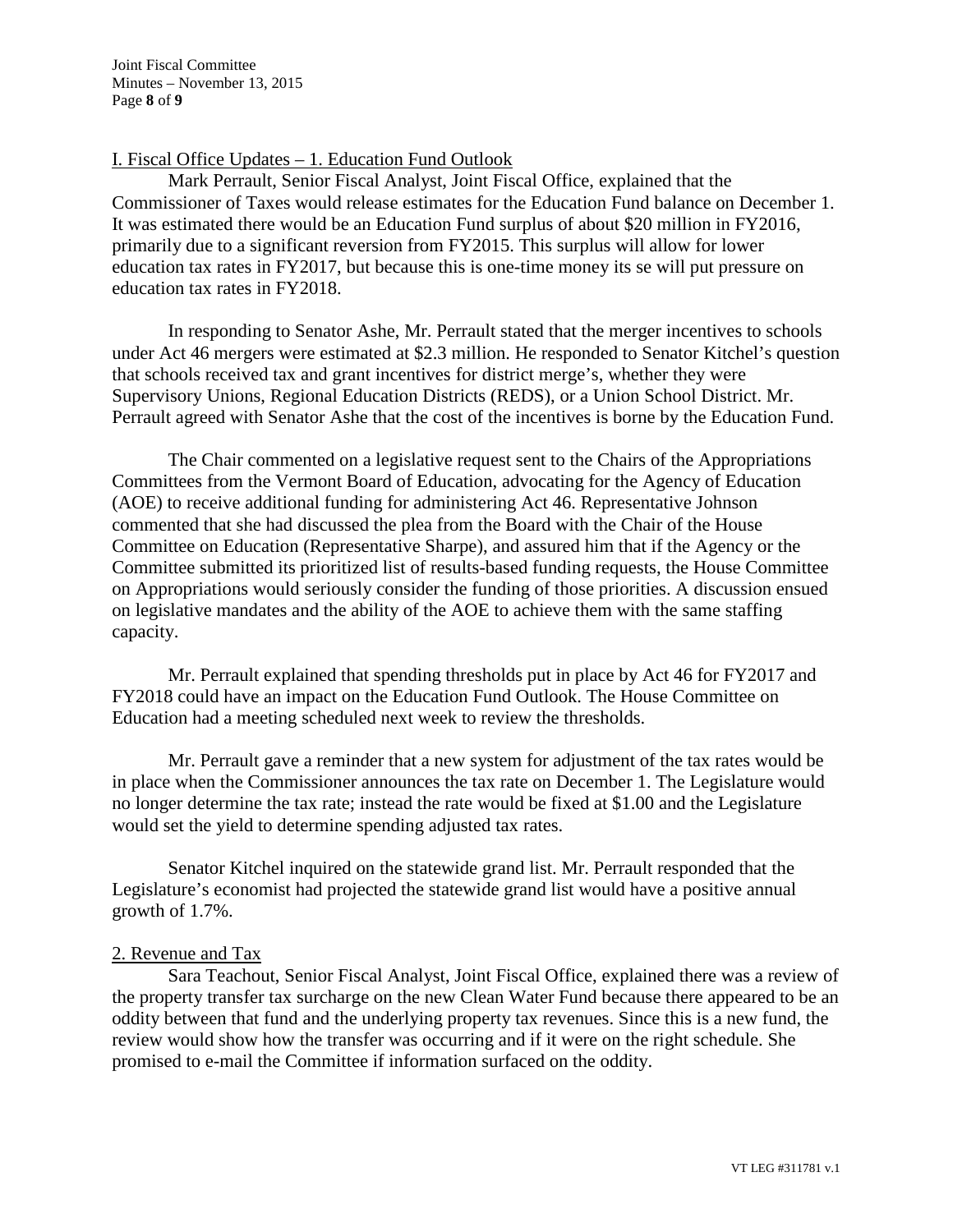# I. Fiscal Office Updates – 1. Education Fund Outlook

Mark Perrault, Senior Fiscal Analyst, Joint Fiscal Office, explained that the Commissioner of Taxes would release estimates for the Education Fund balance on December 1. It was estimated there would be an Education Fund surplus of about \$20 million in FY2016, primarily due to a significant reversion from FY2015. This surplus will allow for lower education tax rates in FY2017, but because this is one-time money its se will put pressure on education tax rates in FY2018.

In responding to Senator Ashe, Mr. Perrault stated that the merger incentives to schools under Act 46 mergers were estimated at \$2.3 million. He responded to Senator Kitchel's question that schools received tax and grant incentives for district merge's, whether they were Supervisory Unions, Regional Education Districts (REDS), or a Union School District. Mr. Perrault agreed with Senator Ashe that the cost of the incentives is borne by the Education Fund.

The Chair commented on a legislative request sent to the Chairs of the Appropriations Committees from the Vermont Board of Education, advocating for the Agency of Education (AOE) to receive additional funding for administering Act 46. Representative Johnson commented that she had discussed the plea from the Board with the Chair of the House Committee on Education (Representative Sharpe), and assured him that if the Agency or the Committee submitted its prioritized list of results-based funding requests, the House Committee on Appropriations would seriously consider the funding of those priorities. A discussion ensued on legislative mandates and the ability of the AOE to achieve them with the same staffing capacity.

Mr. Perrault explained that spending thresholds put in place by Act 46 for FY2017 and FY2018 could have an impact on the Education Fund Outlook. The House Committee on Education had a meeting scheduled next week to review the thresholds.

Mr. Perrault gave a reminder that a new system for adjustment of the tax rates would be in place when the Commissioner announces the tax rate on December 1. The Legislature would no longer determine the tax rate; instead the rate would be fixed at \$1.00 and the Legislature would set the yield to determine spending adjusted tax rates.

Senator Kitchel inquired on the statewide grand list. Mr. Perrault responded that the Legislature's economist had projected the statewide grand list would have a positive annual growth of 1.7%.

### 2. Revenue and Tax

Sara Teachout, Senior Fiscal Analyst, Joint Fiscal Office, explained there was a review of the property transfer tax surcharge on the new Clean Water Fund because there appeared to be an oddity between that fund and the underlying property tax revenues. Since this is a new fund, the review would show how the transfer was occurring and if it were on the right schedule. She promised to e-mail the Committee if information surfaced on the oddity.